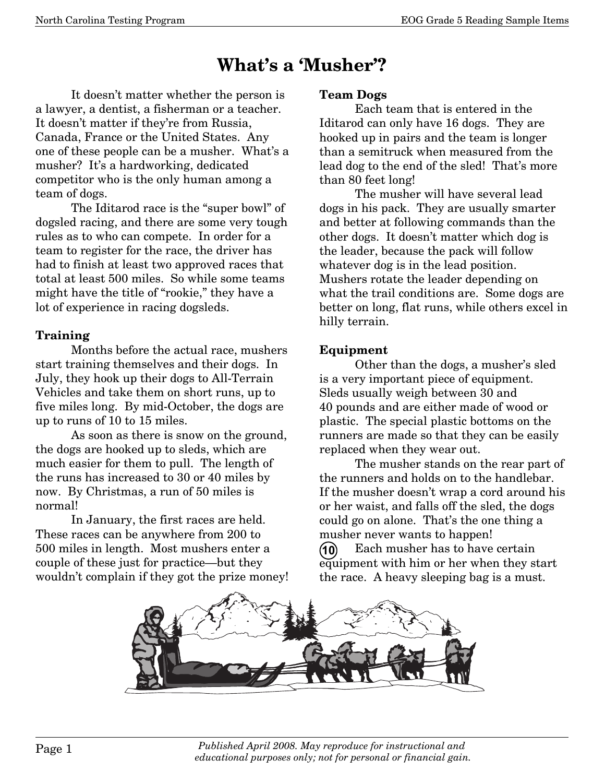# **What's a 'Musher'?**

 It doesn't matter whether the person is a lawyer, a dentist, a fisherman or a teacher. It doesn't matter if they're from Russia, Canada, France or the United States. Any one of these people can be a musher. What's a musher? It's a hardworking, dedicated competitor who is the only human among a team of dogs.

 The Iditarod race is the "super bowl" of dogsled racing, and there are some very tough rules as to who can compete. In order for a team to register for the race, the driver has had to finish at least two approved races that total at least 500 miles. So while some teams might have the title of "rookie," they have a lot of experience in racing dogsleds.

#### **Training**

 Months before the actual race, mushers start training themselves and their dogs. In July, they hook up their dogs to All-Terrain Vehicles and take them on short runs, up to five miles long. By mid-October, the dogs are up to runs of 10 to 15 miles.

 As soon as there is snow on the ground, the dogs are hooked up to sleds, which are much easier for them to pull. The length of the runs has increased to 30 or 40 miles by now. By Christmas, a run of 50 miles is normal!

 In January, the first races are held. These races can be anywhere from 200 to 500 miles in length. Most mushers enter a couple of these just for practice–but they wouldn't complain if they got the prize money!

#### **Team Dogs**

 Each team that is entered in the Iditarod can only have 16 dogs. They are hooked up in pairs and the team is longer than a semitruck when measured from the lead dog to the end of the sled! That's more than 80 feet long!

 The musher will have several lead dogs in his pack. They are usually smarter and better at following commands than the other dogs. It doesn't matter which dog is the leader, because the pack will follow whatever dog is in the lead position. Mushers rotate the leader depending on what the trail conditions are. Some dogs are better on long, flat runs, while others excel in hilly terrain.

#### **Equipment**

 Other than the dogs, a musher's sled is a very important piece of equipment. Sleds usually weigh between 30 and 40 pounds and are either made of wood or plastic. The special plastic bottoms on the runners are made so that they can be easily replaced when they wear out.

 The musher stands on the rear part of the runners and holds on to the handlebar. If the musher doesn't wrap a cord around his or her waist, and falls off the sled, the dogs could go on alone. That's the one thing a musher never wants to happen!

 Each musher has to have certain equipment with him or her when they start the race. A heavy sleeping bag is a must. **10**

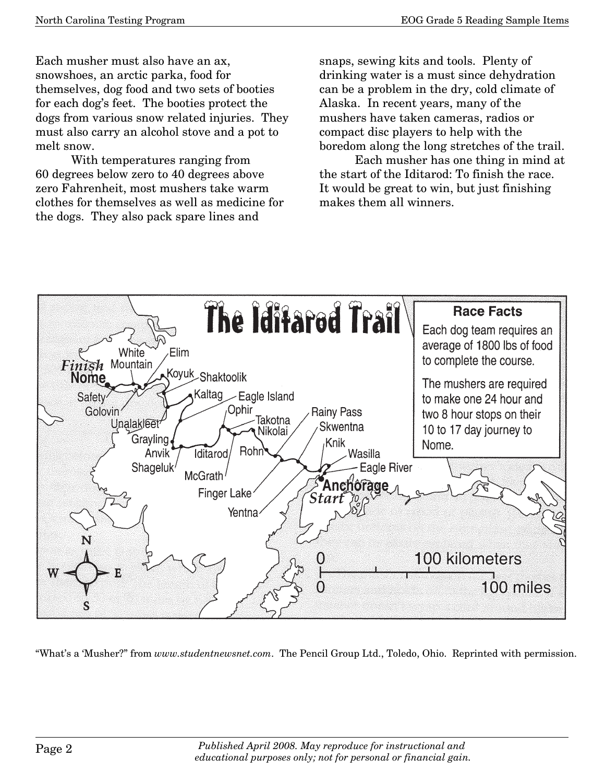Each musher must also have an ax, snowshoes, an arctic parka, food for themselves, dog food and two sets of booties for each dog's feet. The booties protect the dogs from various snow related injuries. They must also carry an alcohol stove and a pot to melt snow.

 With temperatures ranging from 60 degrees below zero to 40 degrees above zero Fahrenheit, most mushers take warm clothes for themselves as well as medicine for the dogs. They also pack spare lines and

snaps, sewing kits and tools. Plenty of drinking water is a must since dehydration can be a problem in the dry, cold climate of Alaska. In recent years, many of the mushers have taken cameras, radios or compact disc players to help with the boredom along the long stretches of the trail.

 Each musher has one thing in mind at the start of the Iditarod: To finish the race. It would be great to win, but just finishing makes them all winners.



"What's a 'Musher?" from *www.studentnewsnet.com*. The Pencil Group Ltd., Toledo, Ohio. Reprinted with permission.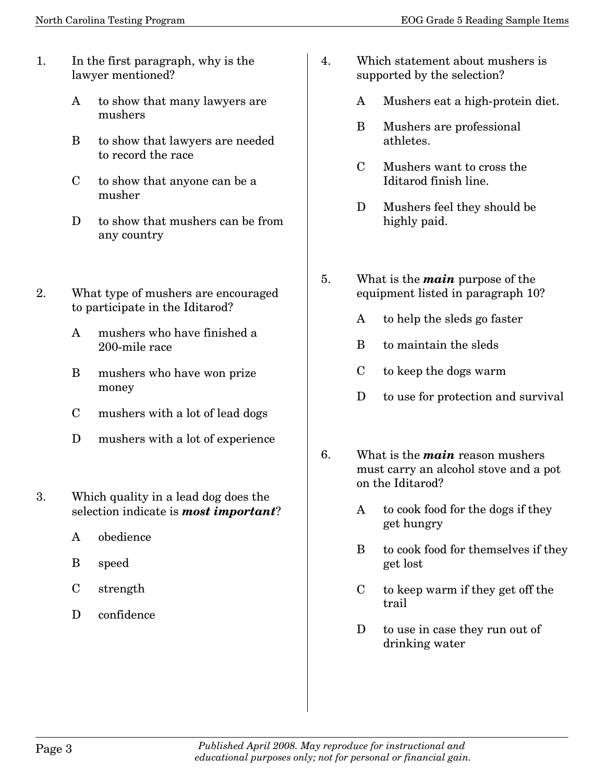- 1. In the first paragraph, why is the lawyer mentioned?
	- A to show that many lawyers are mushers
	- B to show that lawyers are needed to record the race
	- C to show that anyone can be a musher
	- D to show that mushers can be from any country
- 2. What type of mushers are encouraged to participate in the Iditarod?
	- A mushers who have finished a 200-mile race
	- B mushers who have won prize money
	- C mushers with a lot of lead dogs
	- D mushers with a lot of experience
- 3. Which quality in a lead dog does the selection indicate is *most important*?
	- A obedience
	- B speed
	- C strength
	- D confidence
- 4. Which statement about mushers is supported by the selection?
	- A Mushers eat a high-protein diet.
	- B Mushers are professional athletes.
	- C Mushers want to cross the Iditarod finish line.
	- D Mushers feel they should be highly paid.
- 5. What is the *main* purpose of the equipment listed in paragraph 10?
	- A to help the sleds go faster
	- B to maintain the sleds
	- C to keep the dogs warm
	- D to use for protection and survival
- 6. What is the *main* reason mushers must carry an alcohol stove and a pot on the Iditarod?
	- A to cook food for the dogs if they get hungry
	- B to cook food for themselves if they get lost
	- C to keep warm if they get off the trail
	- D to use in case they run out of drinking water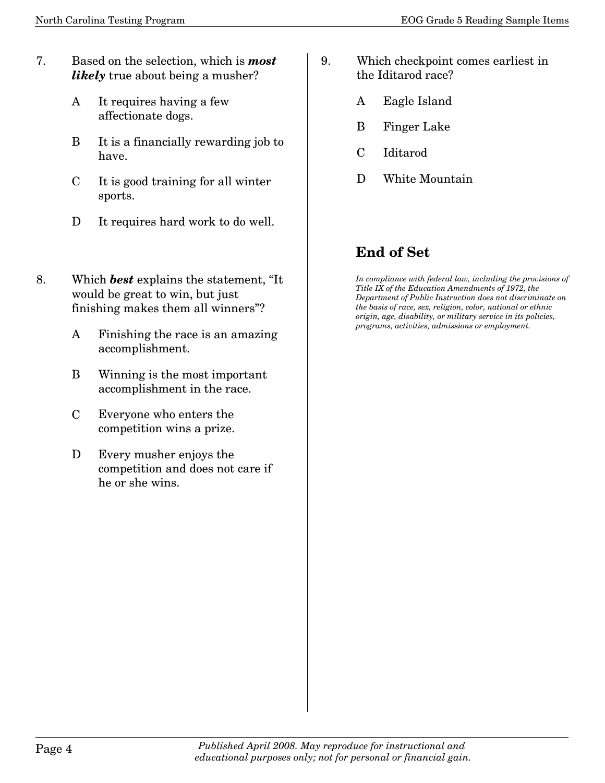- 7. Based on the selection, which is *most likely* true about being a musher?
	- A It requires having a few affectionate dogs.
	- B It is a financially rewarding job to have.
	- C It is good training for all winter sports.
	- D It requires hard work to do well.
- 8. Which *best* explains the statement, "It would be great to win, but just finishing makes them all winners"?
	- A Finishing the race is an amazing accomplishment.
	- B Winning is the most important accomplishment in the race.
	- C Everyone who enters the competition wins a prize.
	- D Every musher enjoys the competition and does not care if he or she wins.
- 9. Which checkpoint comes earliest in the Iditarod race?
	- A Eagle Island
	- B Finger Lake
	- C Iditarod
	- D White Mountain

### **End of Set**

*In compliance with federal law, including the provisions of Title IX of the Education Amendments of 1972, the Department of Public Instruction does not discriminate on the basis of race, sex, religion, color, national or ethnic origin, age, disability, or military service in its policies, programs, activities, admissions or employment.*